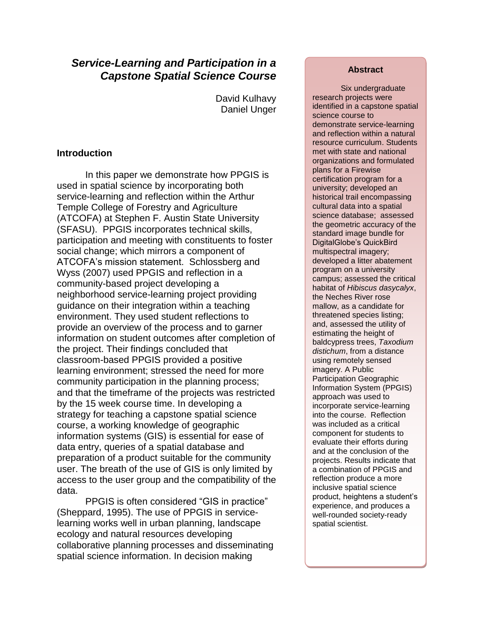# *Service-Learning and Participation in a Capstone Spatial Science Course*

David Kulhavy Daniel Unger

## **Introduction**

In this paper we demonstrate how PPGIS is used in spatial science by incorporating both service-learning and reflection within the Arthur Temple College of Forestry and Agriculture (ATCOFA) at Stephen F. Austin State University (SFASU). PPGIS incorporates technical skills, participation and meeting with constituents to foster social change; which mirrors a component of ATCOFA's mission statement. Schlossberg and Wyss (2007) used PPGIS and reflection in a community-based project developing a neighborhood service-learning project providing guidance on their integration within a teaching environment. They used student reflections to provide an overview of the process and to garner information on student outcomes after completion of the project. Their findings concluded that classroom-based PPGIS provided a positive learning environment; stressed the need for more community participation in the planning process; and that the timeframe of the projects was restricted by the 15 week course time. In developing a strategy for teaching a capstone spatial science course, a working knowledge of geographic information systems (GIS) is essential for ease of data entry, queries of a spatial database and preparation of a product suitable for the community user. The breath of the use of GIS is only limited by access to the user group and the compatibility of the data.

PPGIS is often considered "GIS in practice" (Sheppard, 1995). The use of PPGIS in servicelearning works well in urban planning, landscape ecology and natural resources developing collaborative planning processes and disseminating spatial science information. In decision making

## **Abstract**

Six undergraduate research projects were identified in a capstone spatial science course to demonstrate service-learning and reflection within a natural resource curriculum. Students met with state and national organizations and formulated plans for a Firewise certification program for a university; developed an historical trail encompassing cultural data into a spatial science database; assessed the geometric accuracy of the standard image bundle for DigitalGlobe's QuickBird multispectral imagery; developed a litter abatement program on a university campus; assessed the critical habitat of *Hibiscus dasycalyx*, the Neches River rose mallow, as a candidate for threatened species listing; and, assessed the utility of estimating the height of baldcypress trees, *Taxodium distichum*, from a distance using remotely sensed imagery. A Public Participation Geographic Information System (PPGIS) approach was used to incorporate service-learning into the course. Reflection was included as a critical component for students to evaluate their efforts during and at the conclusion of the projects. Results indicate that a combination of PPGIS and reflection produce a more inclusive spatial science product, heightens a student's experience, and produces a well-rounded society-ready spatial scientist.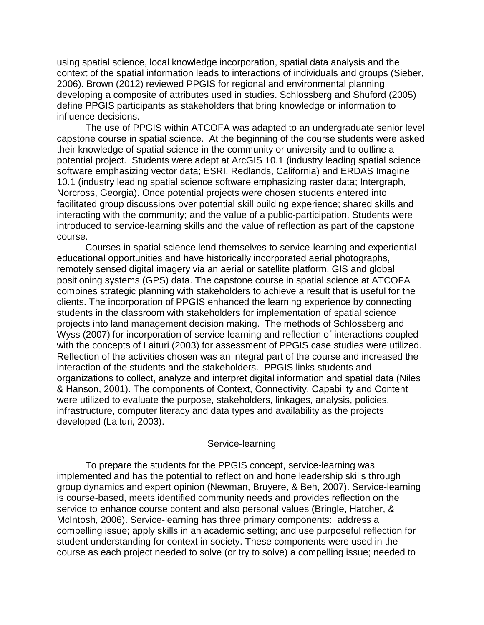using spatial science, local knowledge incorporation, spatial data analysis and the context of the spatial information leads to interactions of individuals and groups (Sieber, 2006). Brown (2012) reviewed PPGIS for regional and environmental planning developing a composite of attributes used in studies. Schlossberg and Shuford (2005) define PPGIS participants as stakeholders that bring knowledge or information to influence decisions.

The use of PPGIS within ATCOFA was adapted to an undergraduate senior level capstone course in spatial science. At the beginning of the course students were asked their knowledge of spatial science in the community or university and to outline a potential project. Students were adept at ArcGIS 10.1 (industry leading spatial science software emphasizing vector data; ESRI, Redlands, California) and ERDAS Imagine 10.1 (industry leading spatial science software emphasizing raster data; Intergraph, Norcross, Georgia). Once potential projects were chosen students entered into facilitated group discussions over potential skill building experience; shared skills and interacting with the community; and the value of a public-participation. Students were introduced to service-learning skills and the value of reflection as part of the capstone course.

Courses in spatial science lend themselves to service-learning and experiential educational opportunities and have historically incorporated aerial photographs, remotely sensed digital imagery via an aerial or satellite platform, GIS and global positioning systems (GPS) data. The capstone course in spatial science at ATCOFA combines strategic planning with stakeholders to achieve a result that is useful for the clients. The incorporation of PPGIS enhanced the learning experience by connecting students in the classroom with stakeholders for implementation of spatial science projects into land management decision making. The methods of Schlossberg and Wyss (2007) for incorporation of service-learning and reflection of interactions coupled with the concepts of Laituri (2003) for assessment of PPGIS case studies were utilized. Reflection of the activities chosen was an integral part of the course and increased the interaction of the students and the stakeholders. PPGIS links students and organizations to collect, analyze and interpret digital information and spatial data (Niles & Hanson, 2001). The components of Context, Connectivity, Capability and Content were utilized to evaluate the purpose, stakeholders, linkages, analysis, policies, infrastructure, computer literacy and data types and availability as the projects developed (Laituri, 2003).

#### Service-learning

To prepare the students for the PPGIS concept, service-learning was implemented and has the potential to reflect on and hone leadership skills through group dynamics and expert opinion (Newman, Bruyere, & Beh, 2007). Service-learning is course-based, meets identified community needs and provides reflection on the service to enhance course content and also personal values (Bringle, Hatcher, & McIntosh, 2006). Service-learning has three primary components: address a compelling issue; apply skills in an academic setting; and use purposeful reflection for student understanding for context in society. These components were used in the course as each project needed to solve (or try to solve) a compelling issue; needed to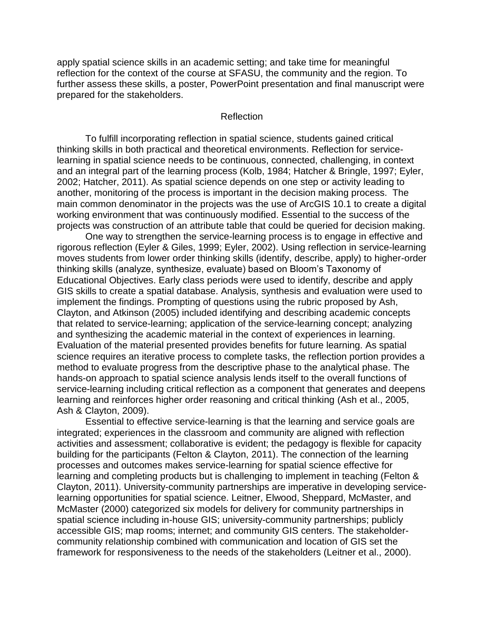apply spatial science skills in an academic setting; and take time for meaningful reflection for the context of the course at SFASU, the community and the region. To further assess these skills, a poster, PowerPoint presentation and final manuscript were prepared for the stakeholders.

#### Reflection

To fulfill incorporating reflection in spatial science, students gained critical thinking skills in both practical and theoretical environments. Reflection for servicelearning in spatial science needs to be continuous, connected, challenging, in context and an integral part of the learning process (Kolb, 1984; Hatcher & Bringle, 1997; Eyler, 2002; Hatcher, 2011). As spatial science depends on one step or activity leading to another, monitoring of the process is important in the decision making process. The main common denominator in the projects was the use of ArcGIS 10.1 to create a digital working environment that was continuously modified. Essential to the success of the projects was construction of an attribute table that could be queried for decision making.

One way to strengthen the service-learning process is to engage in effective and rigorous reflection (Eyler & Giles, 1999; Eyler, 2002). Using reflection in service-learning moves students from lower order thinking skills (identify, describe, apply) to higher-order thinking skills (analyze, synthesize, evaluate) based on Bloom's Taxonomy of Educational Objectives. Early class periods were used to identify, describe and apply GIS skills to create a spatial database. Analysis, synthesis and evaluation were used to implement the findings. Prompting of questions using the rubric proposed by Ash, Clayton, and Atkinson (2005) included identifying and describing academic concepts that related to service-learning; application of the service-learning concept; analyzing and synthesizing the academic material in the context of experiences in learning. Evaluation of the material presented provides benefits for future learning. As spatial science requires an iterative process to complete tasks, the reflection portion provides a method to evaluate progress from the descriptive phase to the analytical phase. The hands-on approach to spatial science analysis lends itself to the overall functions of service-learning including critical reflection as a component that generates and deepens learning and reinforces higher order reasoning and critical thinking (Ash et al., 2005, Ash & Clayton, 2009).

Essential to effective service-learning is that the learning and service goals are integrated; experiences in the classroom and community are aligned with reflection activities and assessment; collaborative is evident; the pedagogy is flexible for capacity building for the participants (Felton & Clayton, 2011). The connection of the learning processes and outcomes makes service-learning for spatial science effective for learning and completing products but is challenging to implement in teaching (Felton & Clayton, 2011). University-community partnerships are imperative in developing servicelearning opportunities for spatial science. Leitner, Elwood, Sheppard, McMaster, and McMaster (2000) categorized six models for delivery for community partnerships in spatial science including in-house GIS; university-community partnerships; publicly accessible GIS; map rooms; internet; and community GIS centers. The stakeholdercommunity relationship combined with communication and location of GIS set the framework for responsiveness to the needs of the stakeholders (Leitner et al., 2000).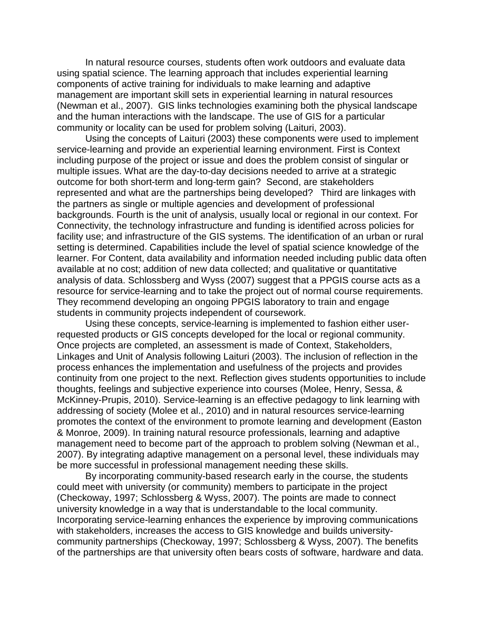In natural resource courses, students often work outdoors and evaluate data using spatial science. The learning approach that includes experiential learning components of active training for individuals to make learning and adaptive management are important skill sets in experiential learning in natural resources (Newman et al., 2007). GIS links technologies examining both the physical landscape and the human interactions with the landscape. The use of GIS for a particular community or locality can be used for problem solving (Laituri, 2003).

Using the concepts of Laituri (2003) these components were used to implement service-learning and provide an experiential learning environment. First is Context including purpose of the project or issue and does the problem consist of singular or multiple issues. What are the day-to-day decisions needed to arrive at a strategic outcome for both short-term and long-term gain? Second, are stakeholders represented and what are the partnerships being developed? Third are linkages with the partners as single or multiple agencies and development of professional backgrounds. Fourth is the unit of analysis, usually local or regional in our context. For Connectivity, the technology infrastructure and funding is identified across policies for facility use; and infrastructure of the GIS systems. The identification of an urban or rural setting is determined. Capabilities include the level of spatial science knowledge of the learner. For Content, data availability and information needed including public data often available at no cost; addition of new data collected; and qualitative or quantitative analysis of data. Schlossberg and Wyss (2007) suggest that a PPGIS course acts as a resource for service-learning and to take the project out of normal course requirements. They recommend developing an ongoing PPGIS laboratory to train and engage students in community projects independent of coursework.

Using these concepts, service-learning is implemented to fashion either userrequested products or GIS concepts developed for the local or regional community. Once projects are completed, an assessment is made of Context, Stakeholders, Linkages and Unit of Analysis following Laituri (2003). The inclusion of reflection in the process enhances the implementation and usefulness of the projects and provides continuity from one project to the next. Reflection gives students opportunities to include thoughts, feelings and subjective experience into courses (Molee, Henry, Sessa, & McKinney-Prupis, 2010). Service-learning is an effective pedagogy to link learning with addressing of society (Molee et al., 2010) and in natural resources service-learning promotes the context of the environment to promote learning and development (Easton & Monroe, 2009). In training natural resource professionals, learning and adaptive management need to become part of the approach to problem solving (Newman et al., 2007). By integrating adaptive management on a personal level, these individuals may be more successful in professional management needing these skills.

By incorporating community-based research early in the course, the students could meet with university (or community) members to participate in the project (Checkoway, 1997; Schlossberg & Wyss, 2007). The points are made to connect university knowledge in a way that is understandable to the local community. Incorporating service-learning enhances the experience by improving communications with stakeholders, increases the access to GIS knowledge and builds universitycommunity partnerships (Checkoway, 1997; Schlossberg & Wyss, 2007). The benefits of the partnerships are that university often bears costs of software, hardware and data.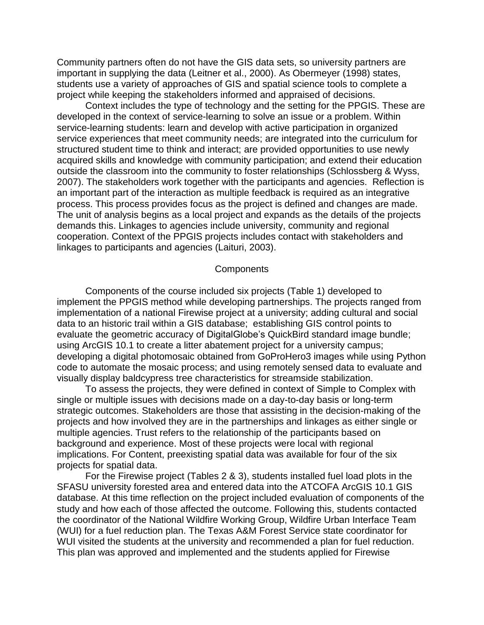Community partners often do not have the GIS data sets, so university partners are important in supplying the data (Leitner et al., 2000). As Obermeyer (1998) states, students use a variety of approaches of GIS and spatial science tools to complete a project while keeping the stakeholders informed and appraised of decisions.

Context includes the type of technology and the setting for the PPGIS. These are developed in the context of service-learning to solve an issue or a problem. Within service-learning students: learn and develop with active participation in organized service experiences that meet community needs; are integrated into the curriculum for structured student time to think and interact; are provided opportunities to use newly acquired skills and knowledge with community participation; and extend their education outside the classroom into the community to foster relationships (Schlossberg & Wyss, 2007). The stakeholders work together with the participants and agencies. Reflection is an important part of the interaction as multiple feedback is required as an integrative process. This process provides focus as the project is defined and changes are made. The unit of analysis begins as a local project and expands as the details of the projects demands this. Linkages to agencies include university, community and regional cooperation. Context of the PPGIS projects includes contact with stakeholders and linkages to participants and agencies (Laituri, 2003).

#### **Components**

Components of the course included six projects (Table 1) developed to implement the PPGIS method while developing partnerships. The projects ranged from implementation of a national Firewise project at a university; adding cultural and social data to an historic trail within a GIS database; establishing GIS control points to evaluate the geometric accuracy of DigitalGlobe's QuickBird standard image bundle; using ArcGIS 10.1 to create a litter abatement project for a university campus; developing a digital photomosaic obtained from GoProHero3 images while using Python code to automate the mosaic process; and using remotely sensed data to evaluate and visually display baldcypress tree characteristics for streamside stabilization.

To assess the projects, they were defined in context of Simple to Complex with single or multiple issues with decisions made on a day-to-day basis or long-term strategic outcomes. Stakeholders are those that assisting in the decision-making of the projects and how involved they are in the partnerships and linkages as either single or multiple agencies. Trust refers to the relationship of the participants based on background and experience. Most of these projects were local with regional implications. For Content, preexisting spatial data was available for four of the six projects for spatial data.

For the Firewise project (Tables 2 & 3), students installed fuel load plots in the SFASU university forested area and entered data into the ATCOFA ArcGIS 10.1 GIS database. At this time reflection on the project included evaluation of components of the study and how each of those affected the outcome. Following this, students contacted the coordinator of the National Wildfire Working Group, Wildfire Urban Interface Team (WUI) for a fuel reduction plan. The Texas A&M Forest Service state coordinator for WUI visited the students at the university and recommended a plan for fuel reduction. This plan was approved and implemented and the students applied for Firewise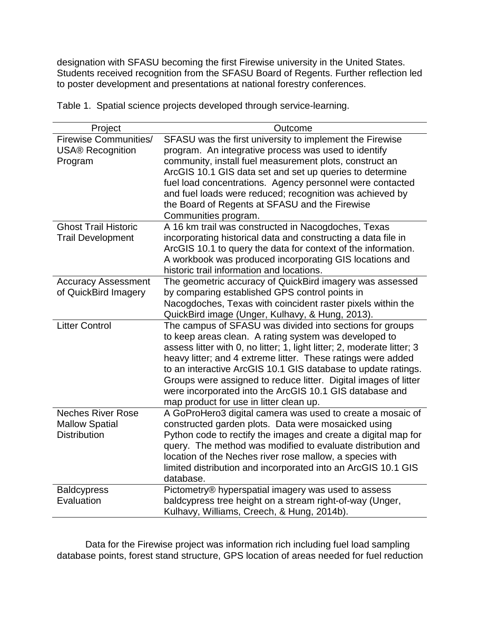designation with SFASU becoming the first Firewise university in the United States. Students received recognition from the SFASU Board of Regents. Further reflection led to poster development and presentations at national forestry conferences.

Table 1. Spatial science projects developed through service-learning.

| Project                                                 | Outcome                                                                                                                       |  |  |  |  |
|---------------------------------------------------------|-------------------------------------------------------------------------------------------------------------------------------|--|--|--|--|
| <b>Firewise Communities/</b><br><b>USA® Recognition</b> | SFASU was the first university to implement the Firewise<br>program. An integrative process was used to identify              |  |  |  |  |
| Program                                                 | community, install fuel measurement plots, construct an<br>ArcGIS 10.1 GIS data set and set up queries to determine           |  |  |  |  |
|                                                         | fuel load concentrations. Agency personnel were contacted                                                                     |  |  |  |  |
|                                                         | and fuel loads were reduced; recognition was achieved by                                                                      |  |  |  |  |
|                                                         | the Board of Regents at SFASU and the Firewise                                                                                |  |  |  |  |
| <b>Ghost Trail Historic</b>                             | Communities program.                                                                                                          |  |  |  |  |
| <b>Trail Development</b>                                | A 16 km trail was constructed in Nacogdoches, Texas<br>incorporating historical data and constructing a data file in          |  |  |  |  |
|                                                         | ArcGIS 10.1 to query the data for context of the information.                                                                 |  |  |  |  |
|                                                         | A workbook was produced incorporating GIS locations and                                                                       |  |  |  |  |
|                                                         | historic trail information and locations.                                                                                     |  |  |  |  |
| <b>Accuracy Assessment</b>                              | The geometric accuracy of QuickBird imagery was assessed                                                                      |  |  |  |  |
| of QuickBird Imagery                                    | by comparing established GPS control points in<br>Nacogdoches, Texas with coincident raster pixels within the                 |  |  |  |  |
|                                                         | QuickBird image (Unger, Kulhavy, & Hung, 2013).                                                                               |  |  |  |  |
| <b>Litter Control</b>                                   | The campus of SFASU was divided into sections for groups                                                                      |  |  |  |  |
|                                                         | to keep areas clean. A rating system was developed to                                                                         |  |  |  |  |
|                                                         | assess litter with 0, no litter; 1, light litter; 2, moderate litter; 3                                                       |  |  |  |  |
|                                                         | heavy litter; and 4 extreme litter. These ratings were added<br>to an interactive ArcGIS 10.1 GIS database to update ratings. |  |  |  |  |
|                                                         | Groups were assigned to reduce litter. Digital images of litter                                                               |  |  |  |  |
|                                                         | were incorporated into the ArcGIS 10.1 GIS database and                                                                       |  |  |  |  |
|                                                         | map product for use in litter clean up.                                                                                       |  |  |  |  |
| <b>Neches River Rose</b>                                | A GoProHero3 digital camera was used to create a mosaic of                                                                    |  |  |  |  |
| <b>Mallow Spatial</b>                                   | constructed garden plots. Data were mosaicked using                                                                           |  |  |  |  |
| <b>Distribution</b>                                     | Python code to rectify the images and create a digital map for<br>query. The method was modified to evaluate distribution and |  |  |  |  |
|                                                         | location of the Neches river rose mallow, a species with                                                                      |  |  |  |  |
|                                                         | limited distribution and incorporated into an ArcGIS 10.1 GIS                                                                 |  |  |  |  |
|                                                         | database.                                                                                                                     |  |  |  |  |
| <b>Baldcypress</b>                                      | Pictometry® hyperspatial imagery was used to assess                                                                           |  |  |  |  |
| Evaluation                                              | baldcypress tree height on a stream right-of-way (Unger,                                                                      |  |  |  |  |
|                                                         | Kulhavy, Williams, Creech, & Hung, 2014b).                                                                                    |  |  |  |  |

Data for the Firewise project was information rich including fuel load sampling database points, forest stand structure, GPS location of areas needed for fuel reduction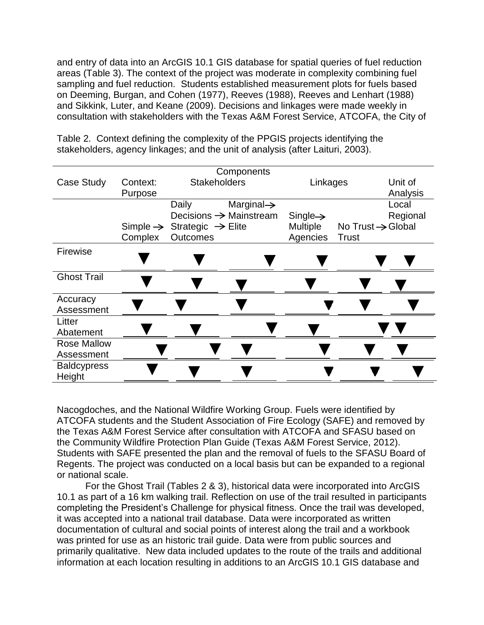and entry of data into an ArcGIS 10.1 GIS database for spatial queries of fuel reduction areas (Table 3). The context of the project was moderate in complexity combining fuel sampling and fuel reduction. Students established measurement plots for fuels based on Deeming, Burgan, and Cohen (1977), Reeves (1988), Reeves and Lenhart (1988) and Sikkink, Luter, and Keane (2009). Decisions and linkages were made weekly in consultation with stakeholders with the Texas A&M Forest Service, ATCOFA, the City of

| Components         |          |                                                    |                                    |                      |                               |          |
|--------------------|----------|----------------------------------------------------|------------------------------------|----------------------|-------------------------------|----------|
| <b>Case Study</b>  | Context: | <b>Stakeholders</b>                                |                                    | Linkages             |                               | Unit of  |
|                    | Purpose  |                                                    |                                    |                      |                               | Analysis |
|                    |          | Daily                                              | Marginal $\rightarrow$             |                      |                               | Local    |
|                    |          |                                                    | Decisions $\rightarrow$ Mainstream | $Single \rightarrow$ |                               | Regional |
|                    |          | Simple $\rightarrow$ Strategic $\rightarrow$ Elite |                                    | Multiple             | No Trust $\rightarrow$ Global |          |
|                    | Complex  | <b>Outcomes</b>                                    |                                    | Agencies             | <b>Trust</b>                  |          |
| Firewise           |          |                                                    |                                    |                      |                               |          |
|                    |          |                                                    |                                    |                      |                               |          |
|                    |          |                                                    |                                    |                      |                               |          |
| <b>Ghost Trail</b> |          |                                                    |                                    |                      |                               |          |
|                    |          |                                                    |                                    |                      |                               |          |
| Accuracy           |          |                                                    |                                    |                      |                               |          |
| Assessment         |          |                                                    |                                    |                      |                               |          |
| Litter             |          |                                                    |                                    |                      |                               |          |
| Abatement          |          |                                                    |                                    |                      |                               |          |
| <b>Rose Mallow</b> |          |                                                    |                                    |                      |                               |          |
| Assessment         |          |                                                    |                                    |                      |                               |          |
| <b>Baldcypress</b> |          |                                                    |                                    |                      |                               |          |
| Height             |          |                                                    |                                    |                      |                               |          |

Table 2. Context defining the complexity of the PPGIS projects identifying the stakeholders, agency linkages; and the unit of analysis (after Laituri, 2003).

Nacogdoches, and the National Wildfire Working Group. Fuels were identified by ATCOFA students and the Student Association of Fire Ecology (SAFE) and removed by the Texas A&M Forest Service after consultation with ATCOFA and SFASU based on the Community Wildfire Protection Plan Guide (Texas A&M Forest Service, 2012). Students with SAFE presented the plan and the removal of fuels to the SFASU Board of Regents. The project was conducted on a local basis but can be expanded to a regional or national scale.

For the Ghost Trail (Tables 2 & 3), historical data were incorporated into ArcGIS 10.1 as part of a 16 km walking trail. Reflection on use of the trail resulted in participants completing the President's Challenge for physical fitness. Once the trail was developed, it was accepted into a national trail database. Data were incorporated as written documentation of cultural and social points of interest along the trail and a workbook was printed for use as an historic trail guide. Data were from public sources and primarily qualitative. New data included updates to the route of the trails and additional information at each location resulting in additions to an ArcGIS 10.1 GIS database and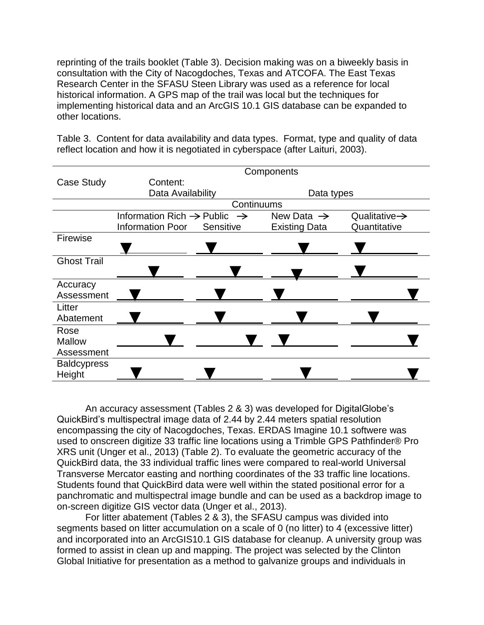reprinting of the trails booklet (Table 3). Decision making was on a biweekly basis in consultation with the City of Nacogdoches, Texas and ATCOFA. The East Texas Research Center in the SFASU Steen Library was used as a reference for local historical information. A GPS map of the trail was local but the techniques for implementing historical data and an ArcGIS 10.1 GIS database can be expanded to other locations.

Table 3. Content for data availability and data types. Format, type and quality of data reflect location and how it is negotiated in cyberspace (after Laituri, 2003).

|                    | Components                                          |           |                        |                           |  |  |
|--------------------|-----------------------------------------------------|-----------|------------------------|---------------------------|--|--|
| Case Study         | Content:                                            |           |                        |                           |  |  |
|                    | Data Availability                                   |           | Data types             |                           |  |  |
|                    | Continuums                                          |           |                        |                           |  |  |
|                    | Information Rich $\rightarrow$ Public $\rightarrow$ |           | New Data $\rightarrow$ | Qualitative $\rightarrow$ |  |  |
|                    | <b>Information Poor</b>                             | Sensitive | <b>Existing Data</b>   | Quantitative              |  |  |
| Firewise           |                                                     |           |                        |                           |  |  |
|                    |                                                     |           |                        |                           |  |  |
| <b>Ghost Trail</b> |                                                     |           |                        |                           |  |  |
|                    |                                                     |           |                        |                           |  |  |
| Accuracy           |                                                     |           |                        |                           |  |  |
| Assessment         |                                                     |           |                        |                           |  |  |
| Litter             |                                                     |           |                        |                           |  |  |
| Abatement          |                                                     |           |                        |                           |  |  |
| Rose               |                                                     |           |                        |                           |  |  |
| <b>Mallow</b>      |                                                     |           |                        |                           |  |  |
| Assessment         |                                                     |           |                        |                           |  |  |
| <b>Baldcypress</b> |                                                     |           |                        |                           |  |  |
| Height             |                                                     |           |                        |                           |  |  |

An accuracy assessment (Tables 2 & 3) was developed for DigitalGlobe's QuickBird's multispectral image data of 2.44 by 2.44 meters spatial resolution encompassing the city of Nacogdoches, Texas. ERDAS Imagine 10.1 softwere was used to onscreen digitize 33 traffic line locations using a Trimble GPS Pathfinder® Pro XRS unit (Unger et al., 2013) (Table 2). To evaluate the geometric accuracy of the QuickBird data, the 33 individual traffic lines were compared to real-world Universal Transverse Mercator easting and northing coordinates of the 33 traffic line locations. Students found that QuickBird data were well within the stated positional error for a panchromatic and multispectral image bundle and can be used as a backdrop image to on-screen digitize GIS vector data (Unger et al., 2013).

For litter abatement (Tables 2 & 3), the SFASU campus was divided into segments based on litter accumulation on a scale of 0 (no litter) to 4 (excessive litter) and incorporated into an ArcGIS10.1 GIS database for cleanup. A university group was formed to assist in clean up and mapping. The project was selected by the Clinton Global Initiative for presentation as a method to galvanize groups and individuals in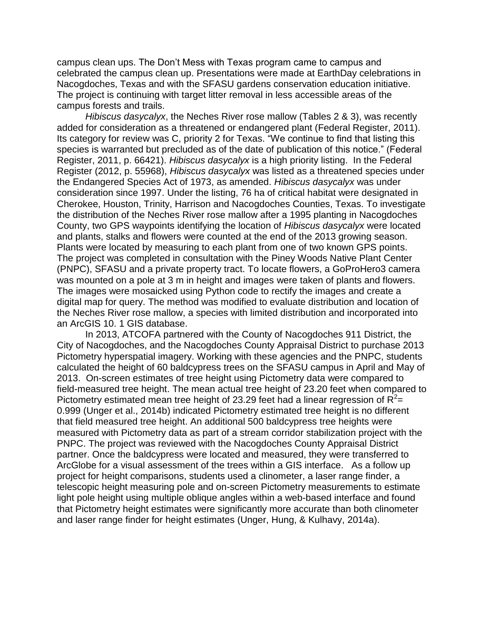campus clean ups. The Don't Mess with Texas program came to campus and celebrated the campus clean up. Presentations were made at EarthDay celebrations in Nacogdoches, Texas and with the SFASU gardens conservation education initiative. The project is continuing with target litter removal in less accessible areas of the campus forests and trails.

*Hibiscus dasycalyx*, the Neches River rose mallow (Tables 2 & 3), was recently added for consideration as a threatened or endangered plant (Federal Register, 2011). Its category for review was C, priority 2 for Texas. "We continue to find that listing this species is warranted but precluded as of the date of publication of this notice." (Federal Register, 2011, p. 66421). *Hibiscus dasycalyx* is a high priority listing. In the Federal Register (2012, p. 55968), *Hibiscus dasycalyx* was listed as a threatened species under the Endangered Species Act of 1973, as amended. *Hibiscus dasycalyx* was under consideration since 1997. Under the listing, 76 ha of critical habitat were designated in Cherokee, Houston, Trinity, Harrison and Nacogdoches Counties, Texas. To investigate the distribution of the Neches River rose mallow after a 1995 planting in Nacogdoches County, two GPS waypoints identifying the location of *Hibiscus dasycalyx* were located and plants, stalks and flowers were counted at the end of the 2013 growing season. Plants were located by measuring to each plant from one of two known GPS points. The project was completed in consultation with the Piney Woods Native Plant Center (PNPC), SFASU and a private property tract. To locate flowers, a GoProHero3 camera was mounted on a pole at 3 m in height and images were taken of plants and flowers. The images were mosaicked using Python code to rectify the images and create a digital map for query. The method was modified to evaluate distribution and location of the Neches River rose mallow, a species with limited distribution and incorporated into an ArcGIS 10. 1 GIS database.

In 2013, ATCOFA partnered with the County of Nacogdoches 911 District, the City of Nacogdoches, and the Nacogdoches County Appraisal District to purchase 2013 Pictometry hyperspatial imagery. Working with these agencies and the PNPC, students calculated the height of 60 baldcypress trees on the SFASU campus in April and May of 2013. On-screen estimates of tree height using Pictometry data were compared to field-measured tree height. The mean actual tree height of 23.20 feet when compared to Pictometry estimated mean tree height of 23.29 feet had a linear regression of  $R^2$ = 0.999 (Unger et al., 2014b) indicated Pictometry estimated tree height is no different that field measured tree height. An additional 500 baldcypress tree heights were measured with Pictometry data as part of a stream corridor stabilization project with the PNPC. The project was reviewed with the Nacogdoches County Appraisal District partner. Once the baldcypress were located and measured, they were transferred to ArcGlobe for a visual assessment of the trees within a GIS interface. As a follow up project for height comparisons, students used a clinometer, a laser range finder, a telescopic height measuring pole and on-screen Pictometry measurements to estimate light pole height using multiple oblique angles within a web-based interface and found that Pictometry height estimates were significantly more accurate than both clinometer and laser range finder for height estimates (Unger, Hung, & Kulhavy, 2014a).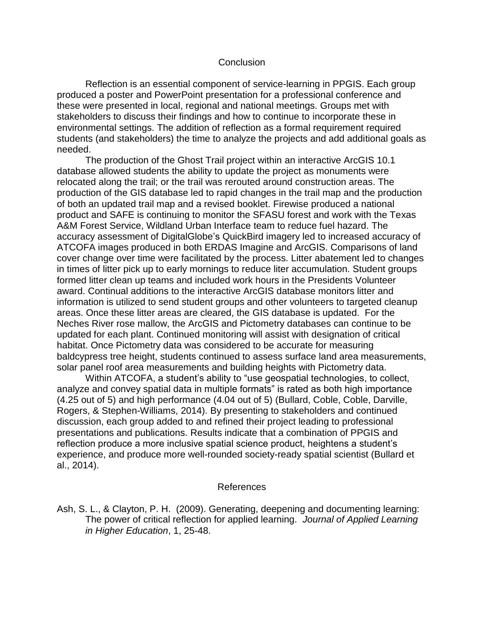## **Conclusion**

Reflection is an essential component of service-learning in PPGIS. Each group produced a poster and PowerPoint presentation for a professional conference and these were presented in local, regional and national meetings. Groups met with stakeholders to discuss their findings and how to continue to incorporate these in environmental settings. The addition of reflection as a formal requirement required students (and stakeholders) the time to analyze the projects and add additional goals as needed.

The production of the Ghost Trail project within an interactive ArcGIS 10.1 database allowed students the ability to update the project as monuments were relocated along the trail; or the trail was rerouted around construction areas. The production of the GIS database led to rapid changes in the trail map and the production of both an updated trail map and a revised booklet. Firewise produced a national product and SAFE is continuing to monitor the SFASU forest and work with the Texas A&M Forest Service, Wildland Urban Interface team to reduce fuel hazard. The accuracy assessment of DigitalGlobe's QuickBird imagery led to increased accuracy of ATCOFA images produced in both ERDAS Imagine and ArcGIS. Comparisons of land cover change over time were facilitated by the process. Litter abatement led to changes in times of litter pick up to early mornings to reduce liter accumulation. Student groups formed litter clean up teams and included work hours in the Presidents Volunteer award. Continual additions to the interactive ArcGIS database monitors litter and information is utilized to send student groups and other volunteers to targeted cleanup areas. Once these litter areas are cleared, the GIS database is updated. For the Neches River rose mallow, the ArcGIS and Pictometry databases can continue to be updated for each plant. Continued monitoring will assist with designation of critical habitat. Once Pictometry data was considered to be accurate for measuring baldcypress tree height, students continued to assess surface land area measurements, solar panel roof area measurements and building heights with Pictometry data.

Within ATCOFA, a student's ability to "use geospatial technologies, to collect, analyze and convey spatial data in multiple formats" is rated as both high importance (4.25 out of 5) and high performance (4.04 out of 5) (Bullard, Coble, Coble, Darville, Rogers, & Stephen-Williams, 2014). By presenting to stakeholders and continued discussion, each group added to and refined their project leading to professional presentations and publications. Results indicate that a combination of PPGIS and reflection produce a more inclusive spatial science product, heightens a student's experience, and produce more well-rounded society-ready spatial scientist (Bullard et al., 2014).

#### References

Ash, S. L., & Clayton, P. H. (2009). Generating, deepening and documenting learning: The power of critical reflection for applied learning. *Journal of Applied Learning in Higher Education*, 1, 25-48.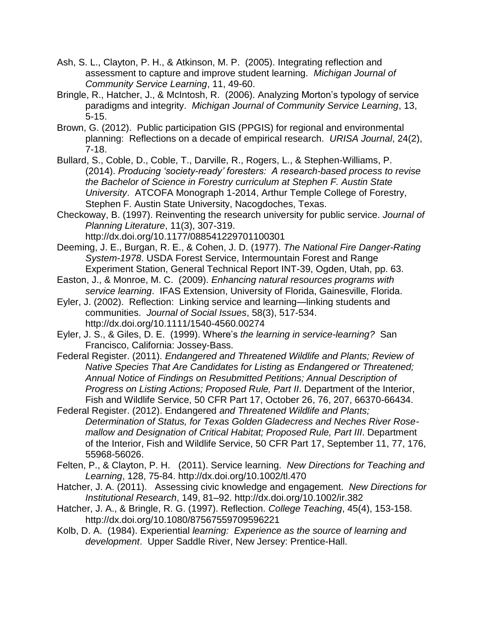- Ash, S. L., Clayton, P. H., & Atkinson, M. P. (2005). Integrating reflection and assessment to capture and improve student learning. *Michigan Journal of Community Service Learning*, 11, 49-60.
- Bringle, R., Hatcher, J., & McIntosh, R. (2006). Analyzing Morton's typology of service paradigms and integrity. *Michigan Journal of Community Service Learning*, 13, 5-15.
- Brown, G. (2012). Public participation GIS (PPGIS) for regional and environmental planning: Reflections on a decade of empirical research. *URISA Journal*, 24(2), 7-18.
- Bullard, S., Coble, D., Coble, T., Darville, R., Rogers, L., & Stephen-Williams, P. (2014). *Producing 'society-ready' foresters: A research-based process to revise the Bachelor of Science in Forestry curriculum at Stephen F. Austin State University*. ATCOFA Monograph 1-2014, Arthur Temple College of Forestry, Stephen F. Austin State University, Nacogdoches, Texas.
- Checkoway, B. (1997). Reinventing the research university for public service. *Journal of Planning Literature*, 11(3), 307-319. http://dx.doi.org/10.1177/088541229701100301
- Deeming, J. E., Burgan, R. E., & Cohen, J. D. (1977). *The National Fire Danger-Rating System-1978*. USDA Forest Service, Intermountain Forest and Range Experiment Station, General Technical Report INT-39, Ogden, Utah, pp. 63.
- Easton, J., & Monroe, M. C. (2009). *Enhancing natural resources programs with service learning*. IFAS Extension, University of Florida, Gainesville, Florida.
- Eyler, J. (2002). Reflection: Linking service and learning—linking students and communities. *Journal of Social Issues*, 58(3), 517-534. http://dx.doi.org/10.1111/1540-4560.00274
- Eyler, J. S., & Giles, D. E. (1999). Where's *the learning in service-learning?* San Francisco, California: Jossey-Bass.
- Federal Register. (2011). *Endangered and Threatened Wildlife and Plants; Review of Native Species That Are Candidates for Listing as Endangered or Threatened; Annual Notice of Findings on Resubmitted Petitions; Annual Description of Progress on Listing Actions; Proposed Rule, Part II*. Department of the Interior, Fish and Wildlife Service, 50 CFR Part 17, October 26, 76, 207, 66370-66434.
- Federal Register. (2012). Endangered *and Threatened Wildlife and Plants; Determination of Status, for Texas Golden Gladecress and Neches River Rosemallow and Designation of Critical Habitat; Proposed Rule, Part III*. Department of the Interior, Fish and Wildlife Service, 50 CFR Part 17, September 11, 77, 176, 55968-56026.
- Felten, P., & Clayton, P. H. (2011). Service learning. *New Directions for Teaching and Learning*, 128, 75-84. http://dx.doi.org/10.1002/tl.470
- Hatcher, J. A. (2011). Assessing civic knowledge and engagement. *New Directions for Institutional Research*, 149, 81–92. http://dx.doi.org/10.1002/ir.382
- Hatcher, J. A., & Bringle, R. G. (1997). Reflection. *College Teaching*, 45(4), 153-158. http://dx.doi.org/10.1080/87567559709596221
- Kolb, D. A. (1984). Experiential *learning: Experience as the source of learning and development*. Upper Saddle River, New Jersey: Prentice-Hall.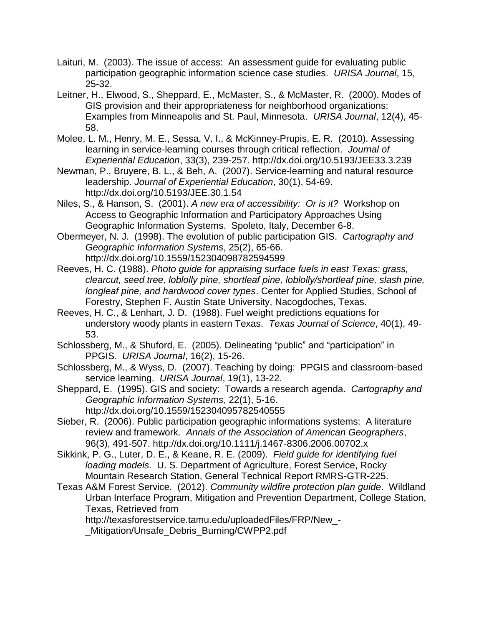- Laituri, M. (2003). The issue of access: An assessment guide for evaluating public participation geographic information science case studies. *URISA Journal*, 15, 25-32.
- Leitner, H., Elwood, S., Sheppard, E., McMaster, S., & McMaster, R. (2000). Modes of GIS provision and their appropriateness for neighborhood organizations: Examples from Minneapolis and St. Paul, Minnesota. *URISA Journal*, 12(4), 45- 58.
- Molee, L. M., Henry, M. E., Sessa, V. I., & McKinney-Prupis, E. R. (2010). Assessing learning in service-learning courses through critical reflection. *Journal of Experiential Education*, 33(3), 239-257. http://dx.doi.org/10.5193/JEE33.3.239
- Newman, P., Bruyere, B. L., & Beh, A. (2007). Service-learning and natural resource leadership. *Journal of Experiential Education*, 30(1), 54-69. http://dx.doi.org/10.5193/JEE.30.1.54
- Niles, S., & Hanson, S. (2001). *A new era of accessibility: Or is it?* Workshop on Access to Geographic Information and Participatory Approaches Using Geographic Information Systems. Spoleto, Italy, December 6-8.
- Obermeyer, N. J. (1998). The evolution of public participation GIS. *Cartography and Geographic Information Systems*, 25(2), 65-66. http://dx.doi.org/10.1559/152304098782594599
- Reeves, H. C. (1988). *Photo guide for appraising surface fuels in east Texas: grass, clearcut, seed tree, loblolly pine, shortleaf pine, loblolly/shortleaf pine, slash pine, longleaf pine, and hardwood cover types*. Center for Applied Studies, School of Forestry, Stephen F. Austin State University, Nacogdoches, Texas.
- Reeves, H. C., & Lenhart, J. D. (1988). Fuel weight predictions equations for understory woody plants in eastern Texas. *Texas Journal of Science*, 40(1), 49- 53.
- Schlossberg, M., & Shuford, E. (2005). Delineating "public" and "participation" in PPGIS. *URISA Journal*, 16(2), 15-26.
- Schlossberg, M., & Wyss, D. (2007). Teaching by doing: PPGIS and classroom-based service learning. *URISA Journal*, 19(1), 13-22.
- Sheppard, E. (1995). GIS and society: Towards a research agenda. *Cartography and Geographic Information Systems*, 22(1), 5-16. http://dx.doi.org/10.1559/152304095782540555
- Sieber, R. (2006). Public participation geographic informations systems: A literature review and framework. *Annals of the Association of American Geographers*, 96(3), 491-507. http://dx.doi.org/10.1111/j.1467-8306.2006.00702.x
- Sikkink, P. G., Luter, D. E., & Keane, R. E. (2009). *Field guide for identifying fuel loading models*. U. S. Department of Agriculture, Forest Service, Rocky Mountain Research Station, General Technical Report RMRS-GTR-225.
- Texas A&M Forest Service. (2012). *Community wildfire protection plan guide*. Wildland Urban Interface Program, Mitigation and Prevention Department, College Station, Texas, Retrieved from

http://texasforestservice.tamu.edu/uploadedFiles/FRP/New\_-

Mitigation/Unsafe\_Debris\_Burning/CWPP2.pdf